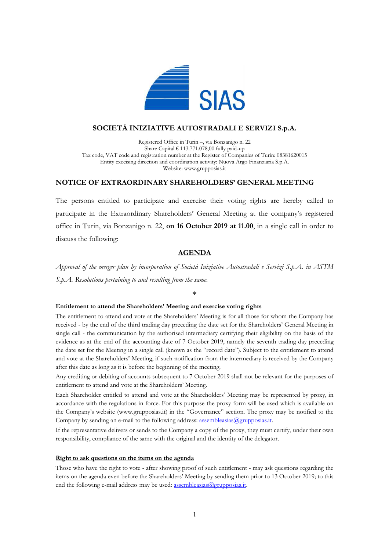

# **SOCIETÀ INIZIATIVE AUTOSTRADALI E SERVIZI S.p.A.**

Registered Office in Turin –, via Bonzanigo n. 22 Share Capital  $\epsilon$  113.771.078,00 fully paid-up Tax code, VAT code and registration number at the Register of Companies of Turin: 08381620015 Entity execising direction and coordination activity: Nuova Argo Finanziaria S.p.A. Website: www.grupposias.it

## **NOTICE OF EXTRAORDINARY SHAREHOLDERS' GENERAL MEETING**

The persons entitled to participate and exercise their voting rights are hereby called to participate in the Extraordinary Shareholders' General Meeting at the company's registered office in Turin, via Bonzanigo n. 22, **on 16 October 2019 at 11.00**, in a single call in order to discuss the following:

## **AGENDA**

*Approval of the merger plan by incorporation of Società Iniziative Autostradali e Servizi S.p.A. in ASTM S.p.A. Resolutions pertaining to and resulting from the same.*

\*

### **Entitlement to attend the Shareholders' Meeting and exercise voting rights**

The entitlement to attend and vote at the Shareholders' Meeting is for all those for whom the Company has received - by the end of the third trading day preceding the date set for the Shareholders' General Meeting in single call - the communication by the authorised intermediary certifying their eligibility on the basis of the evidence as at the end of the accounting date of 7 October 2019, namely the seventh trading day preceding the date set for the Meeting in a single call (known as the "record date"). Subject to the entitlement to attend and vote at the Shareholders' Meeting, if such notification from the intermediary is received by the Company after this date as long as it is before the beginning of the meeting.

Any crediting or debiting of accounts subsequent to 7 October 2019 shall not be relevant for the purposes of entitlement to attend and vote at the Shareholders' Meeting.

Each Shareholder entitled to attend and vote at the Shareholders' Meeting may be represented by proxy, in accordance with the regulations in force. For this purpose the proxy form will be used which is available on the Company's website (www.grupposias.it) in the "Governance" section. The proxy may be notified to the Company by sending an e-mail to the following address: assembleasias@grupposias.it.

If the representative delivers or sends to the Company a copy of the proxy, they must certify, under their own responsibility, compliance of the same with the original and the identity of the delegator.

### **Right to ask questions on the items on the agenda**

Those who have the right to vote - after showing proof of such entitlement - may ask questions regarding the items on the agenda even before the Shareholders' Meeting by sending them prior to 13 October 2019; to this end the following e-mail address may be used: assembleasias@grupposias.it.